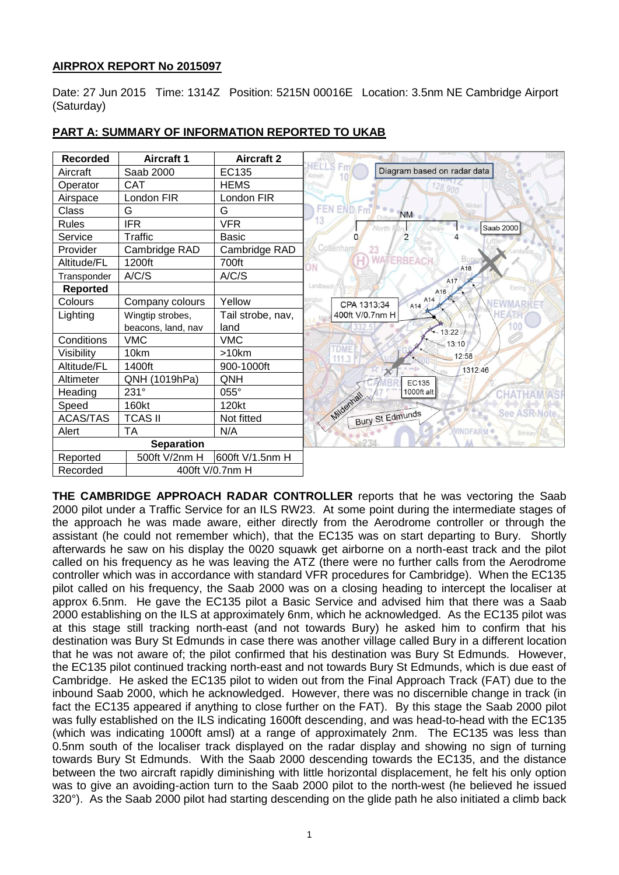# **AIRPROX REPORT No 2015097**

Date: 27 Jun 2015 Time: 1314Z Position: 5215N 00016E Location: 3.5nm NE Cambridge Airport (Saturday)

| <b>Recorded</b>   | <b>Aircraft 1</b>  | <b>Aircraft 2</b> |
|-------------------|--------------------|-------------------|
| Aircraft          | Saab 2000          | EC135             |
| Operator          | <b>CAT</b>         | <b>HEMS</b>       |
| Airspace          | London FIR         | London FIR        |
| Class             | G                  | G                 |
| <b>Rules</b>      | <b>IFR</b>         | <b>VFR</b>        |
| Service           | Traffic            | Basic             |
| Provider          | Cambridge RAD      | Cambridge RAD     |
| Altitude/FL       | 1200ft             | 700ft             |
| Transponder       | A/C/S              | A/C/S             |
| <b>Reported</b>   |                    |                   |
| Colours           | Company colours    | Yellow            |
| Lighting          | Wingtip strobes,   | Tail strobe, nav, |
|                   | beacons, land, nav | land              |
| Conditions        | <b>VMC</b>         | <b>VMC</b>        |
| Visibility        | 10km               | $>10$ km          |
| Altitude/FL       | 1400ft             | 900-1000ft        |
| Altimeter         | QNH (1019hPa)      | QNH               |
| Heading           | 231°               | 055°              |
| Speed             | 160kt              | 120kt             |
| <b>ACAS/TAS</b>   | <b>TCAS II</b>     | Not fitted        |
| Alert             | TA                 | N/A               |
| <b>Separation</b> |                    |                   |
| Reported          | 500ft V/2nm H      | 600ft V/1.5nm H   |
| Recorded          | 400ft V/0.7nm H    |                   |

## **PART A: SUMMARY OF INFORMATION REPORTED TO UKAB**

**THE CAMBRIDGE APPROACH RADAR CONTROLLER** reports that he was vectoring the Saab 2000 pilot under a Traffic Service for an ILS RW23. At some point during the intermediate stages of the approach he was made aware, either directly from the Aerodrome controller or through the assistant (he could not remember which), that the EC135 was on start departing to Bury. Shortly afterwards he saw on his display the 0020 squawk get airborne on a north-east track and the pilot called on his frequency as he was leaving the ATZ (there were no further calls from the Aerodrome controller which was in accordance with standard VFR procedures for Cambridge). When the EC135 pilot called on his frequency, the Saab 2000 was on a closing heading to intercept the localiser at approx 6.5nm. He gave the EC135 pilot a Basic Service and advised him that there was a Saab 2000 establishing on the ILS at approximately 6nm, which he acknowledged. As the EC135 pilot was at this stage still tracking north-east (and not towards Bury) he asked him to confirm that his destination was Bury St Edmunds in case there was another village called Bury in a different location that he was not aware of; the pilot confirmed that his destination was Bury St Edmunds. However, the EC135 pilot continued tracking north-east and not towards Bury St Edmunds, which is due east of Cambridge. He asked the EC135 pilot to widen out from the Final Approach Track (FAT) due to the inbound Saab 2000, which he acknowledged. However, there was no discernible change in track (in fact the EC135 appeared if anything to close further on the FAT). By this stage the Saab 2000 pilot was fully established on the ILS indicating 1600ft descending, and was head-to-head with the EC135 (which was indicating 1000ft amsl) at a range of approximately 2nm. The EC135 was less than 0.5nm south of the localiser track displayed on the radar display and showing no sign of turning towards Bury St Edmunds. With the Saab 2000 descending towards the EC135, and the distance between the two aircraft rapidly diminishing with little horizontal displacement, he felt his only option was to give an avoiding-action turn to the Saab 2000 pilot to the north-west (he believed he issued 320°). As the Saab 2000 pilot had starting descending on the glide path he also initiated a climb back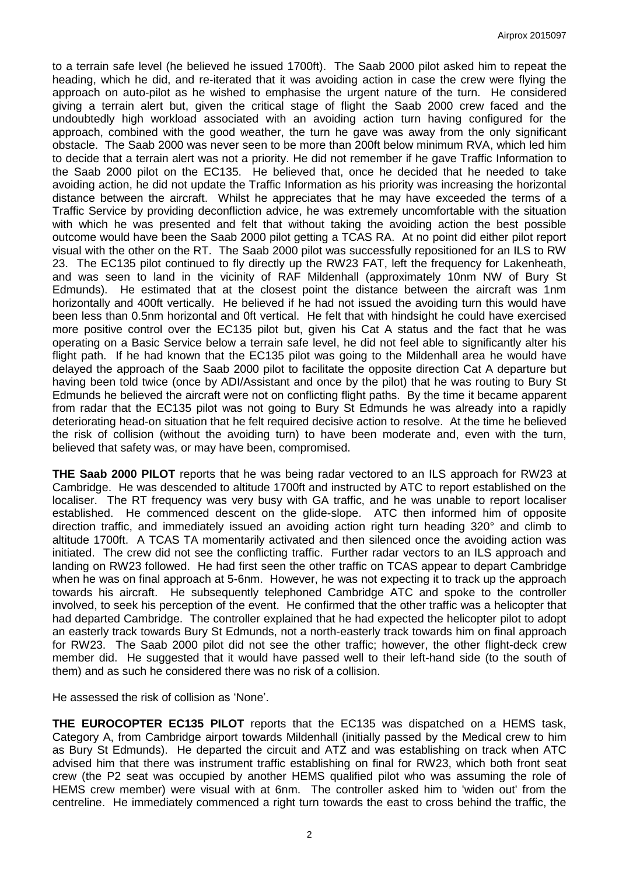to a terrain safe level (he believed he issued 1700ft). The Saab 2000 pilot asked him to repeat the heading, which he did, and re-iterated that it was avoiding action in case the crew were flying the approach on auto-pilot as he wished to emphasise the urgent nature of the turn. He considered giving a terrain alert but, given the critical stage of flight the Saab 2000 crew faced and the undoubtedly high workload associated with an avoiding action turn having configured for the approach, combined with the good weather, the turn he gave was away from the only significant obstacle. The Saab 2000 was never seen to be more than 200ft below minimum RVA, which led him to decide that a terrain alert was not a priority. He did not remember if he gave Traffic Information to the Saab 2000 pilot on the EC135. He believed that, once he decided that he needed to take avoiding action, he did not update the Traffic Information as his priority was increasing the horizontal distance between the aircraft. Whilst he appreciates that he may have exceeded the terms of a Traffic Service by providing deconfliction advice, he was extremely uncomfortable with the situation with which he was presented and felt that without taking the avoiding action the best possible outcome would have been the Saab 2000 pilot getting a TCAS RA. At no point did either pilot report visual with the other on the RT. The Saab 2000 pilot was successfully repositioned for an ILS to RW 23. The EC135 pilot continued to fly directly up the RW23 FAT, left the frequency for Lakenheath, and was seen to land in the vicinity of RAF Mildenhall (approximately 10nm NW of Bury St Edmunds). He estimated that at the closest point the distance between the aircraft was 1nm horizontally and 400ft vertically. He believed if he had not issued the avoiding turn this would have been less than 0.5nm horizontal and 0ft vertical. He felt that with hindsight he could have exercised more positive control over the EC135 pilot but, given his Cat A status and the fact that he was operating on a Basic Service below a terrain safe level, he did not feel able to significantly alter his flight path. If he had known that the EC135 pilot was going to the Mildenhall area he would have delayed the approach of the Saab 2000 pilot to facilitate the opposite direction Cat A departure but having been told twice (once by ADI/Assistant and once by the pilot) that he was routing to Bury St Edmunds he believed the aircraft were not on conflicting flight paths. By the time it became apparent from radar that the EC135 pilot was not going to Bury St Edmunds he was already into a rapidly deteriorating head-on situation that he felt required decisive action to resolve. At the time he believed the risk of collision (without the avoiding turn) to have been moderate and, even with the turn, believed that safety was, or may have been, compromised.

**THE Saab 2000 PILOT** reports that he was being radar vectored to an ILS approach for RW23 at Cambridge. He was descended to altitude 1700ft and instructed by ATC to report established on the localiser. The RT frequency was very busy with GA traffic, and he was unable to report localiser established. He commenced descent on the glide-slope. ATC then informed him of opposite direction traffic, and immediately issued an avoiding action right turn heading 320° and climb to altitude 1700ft. A TCAS TA momentarily activated and then silenced once the avoiding action was initiated. The crew did not see the conflicting traffic. Further radar vectors to an ILS approach and landing on RW23 followed. He had first seen the other traffic on TCAS appear to depart Cambridge when he was on final approach at 5-6nm. However, he was not expecting it to track up the approach towards his aircraft. He subsequently telephoned Cambridge ATC and spoke to the controller involved, to seek his perception of the event. He confirmed that the other traffic was a helicopter that had departed Cambridge. The controller explained that he had expected the helicopter pilot to adopt an easterly track towards Bury St Edmunds, not a north-easterly track towards him on final approach for RW23. The Saab 2000 pilot did not see the other traffic; however, the other flight-deck crew member did. He suggested that it would have passed well to their left-hand side (to the south of them) and as such he considered there was no risk of a collision.

He assessed the risk of collision as 'None'.

**THE EUROCOPTER EC135 PILOT** reports that the EC135 was dispatched on a HEMS task, Category A, from Cambridge airport towards Mildenhall (initially passed by the Medical crew to him as Bury St Edmunds). He departed the circuit and ATZ and was establishing on track when ATC advised him that there was instrument traffic establishing on final for RW23, which both front seat crew (the P2 seat was occupied by another HEMS qualified pilot who was assuming the role of HEMS crew member) were visual with at 6nm. The controller asked him to 'widen out' from the centreline. He immediately commenced a right turn towards the east to cross behind the traffic, the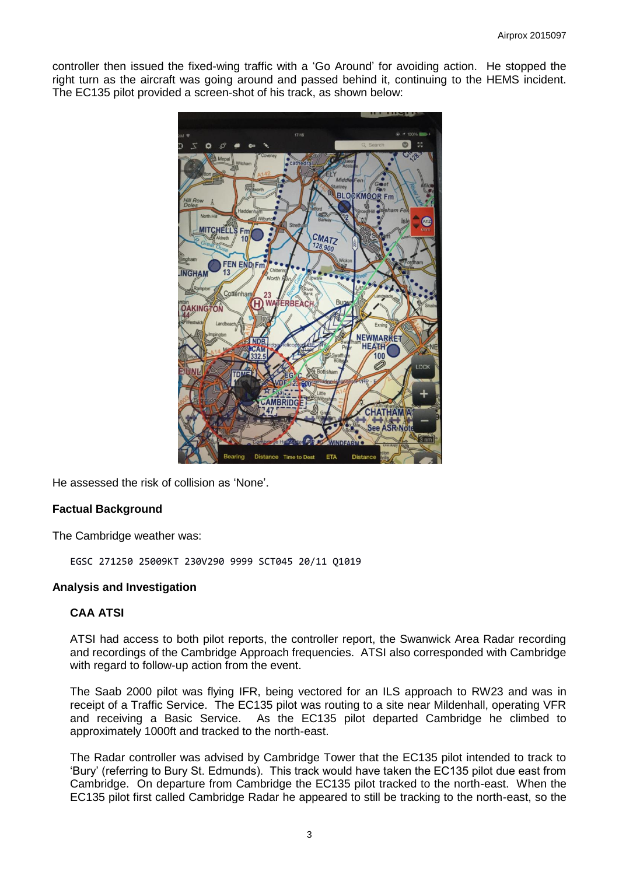controller then issued the fixed-wing traffic with a 'Go Around' for avoiding action. He stopped the right turn as the aircraft was going around and passed behind it, continuing to the HEMS incident. The EC135 pilot provided a screen-shot of his track, as shown below:



He assessed the risk of collision as 'None'.

### **Factual Background**

The Cambridge weather was:

EGSC 271250 25009KT 230V290 9999 SCT045 20/11 Q1019

#### **Analysis and Investigation**

### **CAA ATSI**

ATSI had access to both pilot reports, the controller report, the Swanwick Area Radar recording and recordings of the Cambridge Approach frequencies. ATSI also corresponded with Cambridge with regard to follow-up action from the event.

The Saab 2000 pilot was flying IFR, being vectored for an ILS approach to RW23 and was in receipt of a Traffic Service. The EC135 pilot was routing to a site near Mildenhall, operating VFR and receiving a Basic Service. As the EC135 pilot departed Cambridge he climbed to approximately 1000ft and tracked to the north-east.

The Radar controller was advised by Cambridge Tower that the EC135 pilot intended to track to 'Bury' (referring to Bury St. Edmunds). This track would have taken the EC135 pilot due east from Cambridge. On departure from Cambridge the EC135 pilot tracked to the north-east. When the EC135 pilot first called Cambridge Radar he appeared to still be tracking to the north-east, so the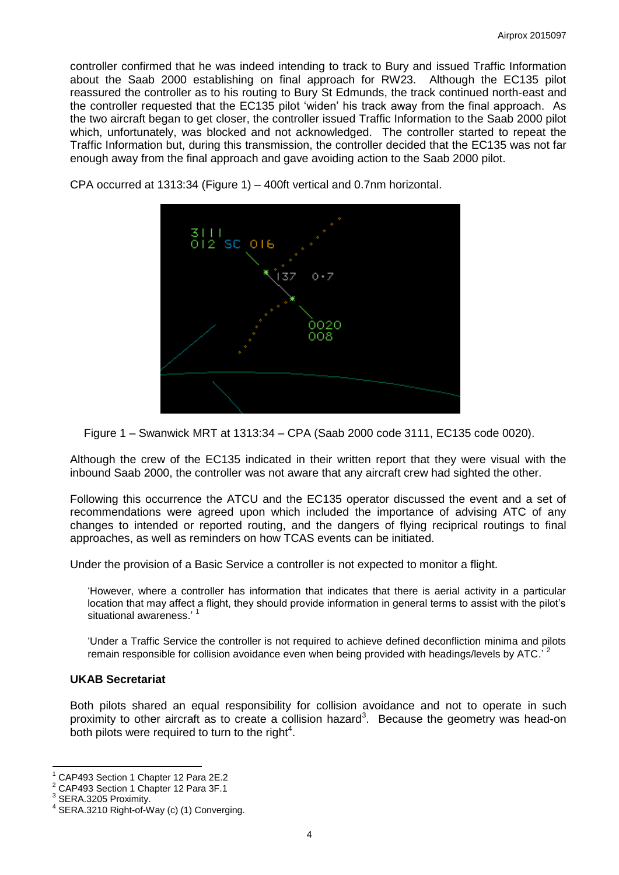controller confirmed that he was indeed intending to track to Bury and issued Traffic Information about the Saab 2000 establishing on final approach for RW23. Although the EC135 pilot reassured the controller as to his routing to Bury St Edmunds, the track continued north-east and the controller requested that the EC135 pilot 'widen' his track away from the final approach. As the two aircraft began to get closer, the controller issued Traffic Information to the Saab 2000 pilot which, unfortunately, was blocked and not acknowledged. The controller started to repeat the Traffic Information but, during this transmission, the controller decided that the EC135 was not far enough away from the final approach and gave avoiding action to the Saab 2000 pilot.



CPA occurred at 1313:34 (Figure 1) – 400ft vertical and 0.7nm horizontal.

Figure 1 – Swanwick MRT at 1313:34 – CPA (Saab 2000 code 3111, EC135 code 0020).

Although the crew of the EC135 indicated in their written report that they were visual with the inbound Saab 2000, the controller was not aware that any aircraft crew had sighted the other.

Following this occurrence the ATCU and the EC135 operator discussed the event and a set of recommendations were agreed upon which included the importance of advising ATC of any changes to intended or reported routing, and the dangers of flying reciprical routings to final approaches, as well as reminders on how TCAS events can be initiated.

Under the provision of a Basic Service a controller is not expected to monitor a flight.

'However, where a controller has information that indicates that there is aerial activity in a particular location that may affect a flight, they should provide information in general terms to assist with the pilot's situational awareness.' 1

'Under a Traffic Service the controller is not required to achieve defined deconfliction minima and pilots remain responsible for collision avoidance even when being provided with headings/levels by ATC.<sup>72</sup>

#### **UKAB Secretariat**

Both pilots shared an equal responsibility for collision avoidance and not to operate in such proximity to other aircraft as to create a collision hazard<sup>3</sup>. Because the geometry was head-on both pilots were required to turn to the right $4$ .

 $\overline{a}$ 

<sup>1</sup> CAP493 Section 1 Chapter 12 Para 2E.2

<sup>2</sup> CAP493 Section 1 Chapter 12 Para 3F.1

<sup>3</sup> SERA.3205 Proximity.

<sup>4</sup> SERA.3210 Right-of-Way (c) (1) Converging.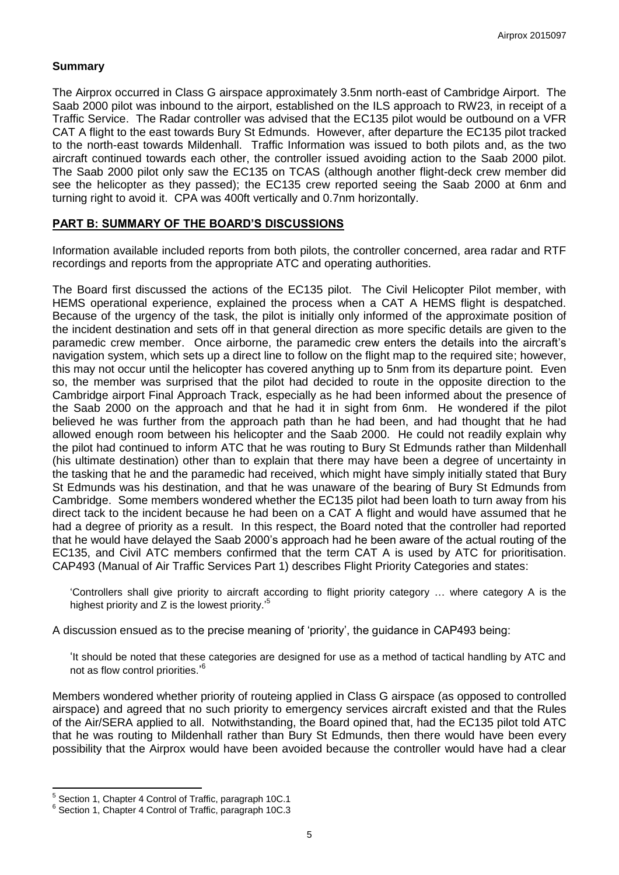#### **Summary**

The Airprox occurred in Class G airspace approximately 3.5nm north-east of Cambridge Airport. The Saab 2000 pilot was inbound to the airport, established on the ILS approach to RW23, in receipt of a Traffic Service. The Radar controller was advised that the EC135 pilot would be outbound on a VFR CAT A flight to the east towards Bury St Edmunds. However, after departure the EC135 pilot tracked to the north-east towards Mildenhall. Traffic Information was issued to both pilots and, as the two aircraft continued towards each other, the controller issued avoiding action to the Saab 2000 pilot. The Saab 2000 pilot only saw the EC135 on TCAS (although another flight-deck crew member did see the helicopter as they passed); the EC135 crew reported seeing the Saab 2000 at 6nm and turning right to avoid it. CPA was 400ft vertically and 0.7nm horizontally.

#### **PART B: SUMMARY OF THE BOARD'S DISCUSSIONS**

Information available included reports from both pilots, the controller concerned, area radar and RTF recordings and reports from the appropriate ATC and operating authorities.

The Board first discussed the actions of the EC135 pilot. The Civil Helicopter Pilot member, with HEMS operational experience, explained the process when a CAT A HEMS flight is despatched. Because of the urgency of the task, the pilot is initially only informed of the approximate position of the incident destination and sets off in that general direction as more specific details are given to the paramedic crew member. Once airborne, the paramedic crew enters the details into the aircraft's navigation system, which sets up a direct line to follow on the flight map to the required site; however, this may not occur until the helicopter has covered anything up to 5nm from its departure point. Even so, the member was surprised that the pilot had decided to route in the opposite direction to the Cambridge airport Final Approach Track, especially as he had been informed about the presence of the Saab 2000 on the approach and that he had it in sight from 6nm. He wondered if the pilot believed he was further from the approach path than he had been, and had thought that he had allowed enough room between his helicopter and the Saab 2000. He could not readily explain why the pilot had continued to inform ATC that he was routing to Bury St Edmunds rather than Mildenhall (his ultimate destination) other than to explain that there may have been a degree of uncertainty in the tasking that he and the paramedic had received, which might have simply initially stated that Bury St Edmunds was his destination, and that he was unaware of the bearing of Bury St Edmunds from Cambridge. Some members wondered whether the EC135 pilot had been loath to turn away from his direct tack to the incident because he had been on a CAT A flight and would have assumed that he had a degree of priority as a result. In this respect, the Board noted that the controller had reported that he would have delayed the Saab 2000's approach had he been aware of the actual routing of the EC135, and Civil ATC members confirmed that the term CAT A is used by ATC for prioritisation. CAP493 (Manual of Air Traffic Services Part 1) describes Flight Priority Categories and states:

'Controllers shall give priority to aircraft according to flight priority category … where category A is the highest priority and  $Z$  is the lowest priority.<sup>5</sup>

A discussion ensued as to the precise meaning of 'priority', the guidance in CAP493 being:

'It should be noted that these categories are designed for use as a method of tactical handling by ATC and not as flow control priorities.'<sup>6</sup>

Members wondered whether priority of routeing applied in Class G airspace (as opposed to controlled airspace) and agreed that no such priority to emergency services aircraft existed and that the Rules of the Air/SERA applied to all. Notwithstanding, the Board opined that, had the EC135 pilot told ATC that he was routing to Mildenhall rather than Bury St Edmunds, then there would have been every possibility that the Airprox would have been avoided because the controller would have had a clear

 $\overline{\phantom{a}}$ 

<sup>&</sup>lt;sup>5</sup> Section 1, Chapter 4 Control of Traffic, paragraph 10C.1

<sup>6</sup> Section 1, Chapter 4 Control of Traffic, paragraph 10C.3